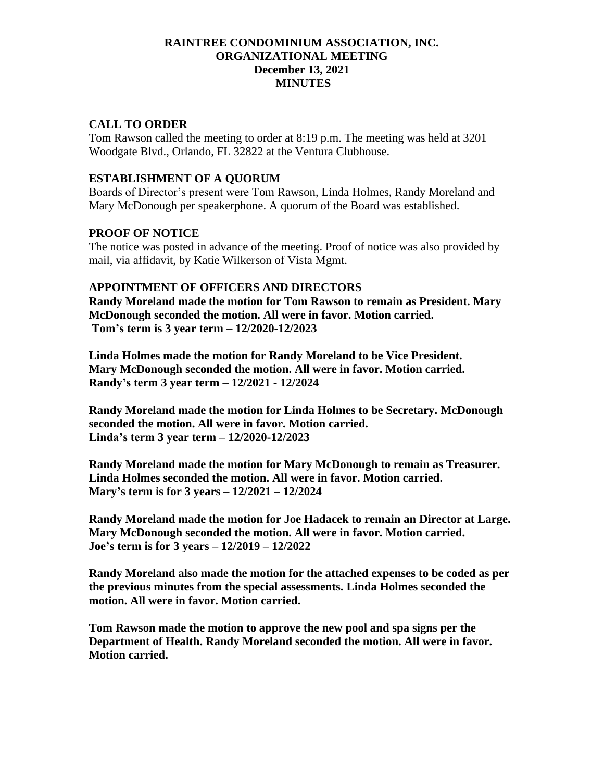### **RAINTREE CONDOMINIUM ASSOCIATION, INC. ORGANIZATIONAL MEETING December 13, 2021 MINUTES**

## **CALL TO ORDER**

Tom Rawson called the meeting to order at 8:19 p.m. The meeting was held at 3201 Woodgate Blvd., Orlando, FL 32822 at the Ventura Clubhouse.

### **ESTABLISHMENT OF A QUORUM**

Boards of Director's present were Tom Rawson, Linda Holmes, Randy Moreland and Mary McDonough per speakerphone. A quorum of the Board was established.

### **PROOF OF NOTICE**

The notice was posted in advance of the meeting. Proof of notice was also provided by mail, via affidavit, by Katie Wilkerson of Vista Mgmt.

### **APPOINTMENT OF OFFICERS AND DIRECTORS**

**Randy Moreland made the motion for Tom Rawson to remain as President. Mary McDonough seconded the motion. All were in favor. Motion carried. Tom's term is 3 year term – 12/2020-12/2023**

**Linda Holmes made the motion for Randy Moreland to be Vice President. Mary McDonough seconded the motion. All were in favor. Motion carried. Randy's term 3 year term – 12/2021 - 12/2024**

**Randy Moreland made the motion for Linda Holmes to be Secretary. McDonough seconded the motion. All were in favor. Motion carried. Linda's term 3 year term – 12/2020-12/2023**

**Randy Moreland made the motion for Mary McDonough to remain as Treasurer. Linda Holmes seconded the motion. All were in favor. Motion carried. Mary's term is for 3 years – 12/2021 – 12/2024**

**Randy Moreland made the motion for Joe Hadacek to remain an Director at Large. Mary McDonough seconded the motion. All were in favor. Motion carried. Joe's term is for 3 years – 12/2019 – 12/2022**

**Randy Moreland also made the motion for the attached expenses to be coded as per the previous minutes from the special assessments. Linda Holmes seconded the motion. All were in favor. Motion carried.**

**Tom Rawson made the motion to approve the new pool and spa signs per the Department of Health. Randy Moreland seconded the motion. All were in favor. Motion carried.**